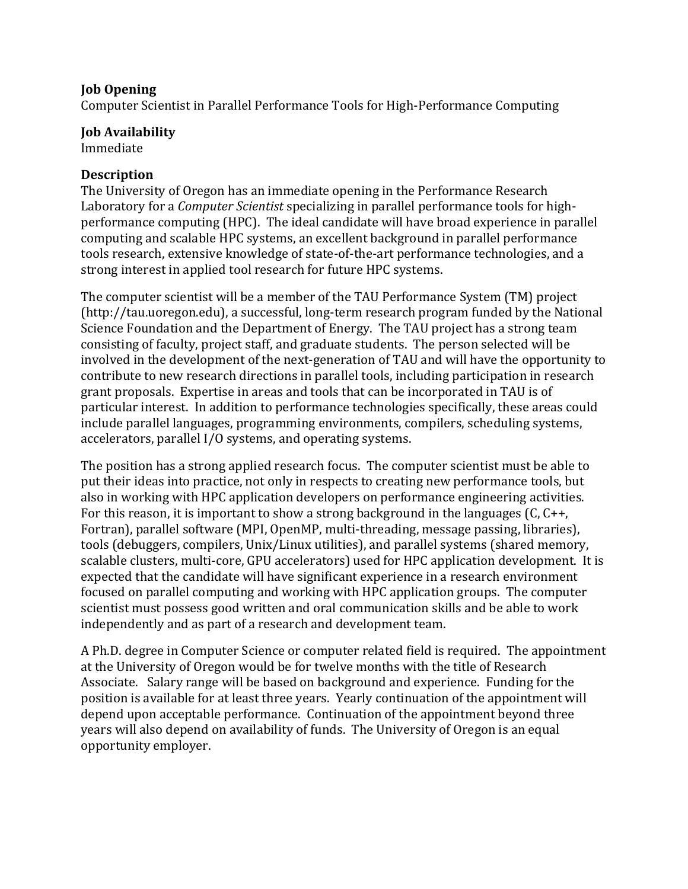## **Job Opening**

Computer Scientist in Parallel Performance Tools for High-Performance Computing

## **Job Availability**

Immediate

## **Description**

The University of Oregon has an immediate opening in the Performance Research Laboratory for a *Computer Scientist* specializing in parallel performance tools for highperformance computing (HPC). The ideal candidate will have broad experience in parallel computing and scalable HPC systems, an excellent background in parallel performance tools research, extensive knowledge of state-of-the-art performance technologies, and a strong interest in applied tool research for future HPC systems.

The computer scientist will be a member of the TAU Performance System (TM) project (http://tau.uoregon.edu), a successful, long-term research program funded by the National Science Foundation and the Department of Energy. The TAU project has a strong team consisting of faculty, project staff, and graduate students. The person selected will be involved in the development of the next-generation of TAU and will have the opportunity to contribute to new research directions in parallel tools, including participation in research grant proposals. Expertise in areas and tools that can be incorporated in TAU is of particular interest. In addition to performance technologies specifically, these areas could include parallel languages, programming environments, compilers, scheduling systems, accelerators, parallel I/O systems, and operating systems.

The position has a strong applied research focus. The computer scientist must be able to put their ideas into practice, not only in respects to creating new performance tools, but also in working with HPC application developers on performance engineering activities. For this reason, it is important to show a strong background in the languages (C,  $C_{++}$ , Fortran), parallel software (MPI, OpenMP, multi-threading, message passing, libraries), tools (debuggers, compilers, Unix/Linux utilities), and parallel systems (shared memory, scalable clusters, multi-core, GPU accelerators) used for HPC application development. It is expected that the candidate will have significant experience in a research environment focused on parallel computing and working with HPC application groups. The computer scientist must possess good written and oral communication skills and be able to work independently and as part of a research and development team.

A Ph.D. degree in Computer Science or computer related field is required. The appointment at the University of Oregon would be for twelve months with the title of Research Associate. Salary range will be based on background and experience. Funding for the position is available for at least three years. Yearly continuation of the appointment will depend upon acceptable performance. Continuation of the appointment beyond three years will also depend on availability of funds. The University of Oregon is an equal opportunity!employer.